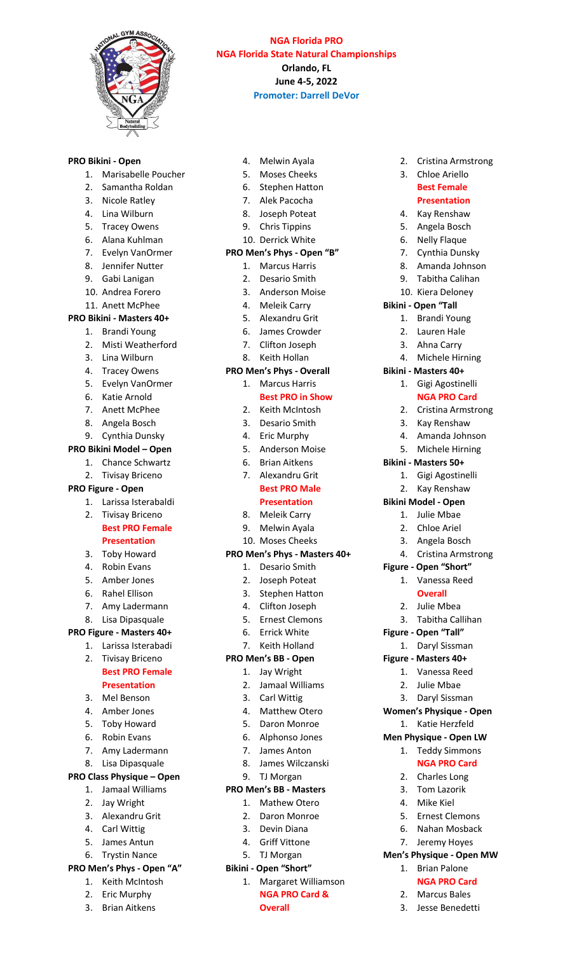

### **NGA Florida PRO NGA Florida State Natural Championships Orlando, FL June 4-5, 2022 Promoter: Darrell DeVor**

2. Cristina Armstrong 3. Chloe Ariello **Best Female Presentation** 4. Kay Renshaw 5. Angela Bosch 6. Nelly Flaque 7. Cynthia Dunsky 8. Amanda Johnson 9. Tabitha Calihan 10. Kiera Deloney

**Bikini - Open "Tall** 

**Bikini - Masters 40+**

**Bikini - Masters 50+**

**Figure - Open "Short"** 1. Vanessa Reed **Overall** 2. Julie Mbea 3. Tabitha Callihan

**Figure - Open "Tall"** 1. Daryl Sissman **Figure - Masters 40+** 1. Vanessa Reed 2. Julie Mbae 3. Daryl Sissman **Women's Physique - Open** 1. Katie Herzfeld **Men Physique - Open LW** 1. Teddy Simmons **NGA PRO Card**

2. Charles Long 3. Tom Lazorik 4. Mike Kiel 5. Ernest Clemons 6. Nahan Mosback 7. Jeremy Hoyes **Men's Physique - Open MW** 1. Brian Palone **NGA PRO Card** 2. Marcus Bales 3. Jesse Benedetti

1. Gigi Agostinelli 2. Kay Renshaw **Bikini Model - Open** 1. Julie Mbae 2. Chloe Ariel 3. Angela Bosch 4. Cristina Armstrong

1. Brandi Young 2. Lauren Hale 3. Ahna Carry 4. Michele Hirning

1. Gigi Agostinelli **NGA PRO Card** 2. Cristina Armstrong 3. Kay Renshaw 4. Amanda Johnson 5. Michele Hirning

#### **PRO Bikini - Open**

- 1. Marisabelle Poucher
- 2. Samantha Roldan
- 3. Nicole Ratley
- 4. Lina Wilburn
- 5. Tracey Owens
- 6. Alana Kuhlman
- 7. Evelyn VanOrmer
- 8. Jennifer Nutter
- 9. Gabi Lanigan
- 10. Andrea Forero
- 11. Anett McPhee

### **PRO Bikini - Masters 40+**

- 1. Brandi Young
- 2. Misti Weatherford
- 3. Lina Wilburn
- 4. Tracey Owens
- 5. Evelyn VanOrmer
- 6. Katie Arnold
- 7. Anett McPhee
- 8. Angela Bosch
- 9. Cynthia Dunsky

## **PRO Bikini Model – Open**

- 1. Chance Schwartz
- 2. Tivisay Briceno

## **PRO Figure - Open**

- 1. Larissa Isterabaldi
- 2. Tivisay Briceno **Best PRO Female**

#### **Presentation**

- 3. Toby Howard
- 4. Robin Evans
- 5. Amber Jones
- 6. Rahel Ellison
- 7. Amy Ladermann

#### 8. Lisa Dipasquale

### **PRO Figure - Masters 40+**

1. Larissa Isterabadi

#### 2. Tivisay Briceno **Best PRO Female**

## **Presentation**

- 3. Mel Benson
- 4. Amber Jones
- 5. Toby Howard
- 6. Robin Evans
- 7. Amy Ladermann
- 8. Lisa Dipasquale

#### **PRO Class Physique – Open**

- 1. Jamaal Williams
- 2. Jay Wright
- 3. Alexandru Grit
- 4. Carl Wittig
- 5. James Antun
- 6. Trystin Nance

## **PRO Men's Phys - Open "A"**

- 1. Keith McIntosh
- 2. Eric Murphy
- 3. Brian Aitkens
- 4. Melwin Ayala
- 5. Moses Cheeks
- 6. Stephen Hatton
- 7. Alek Pacocha
- 8. Joseph Poteat
- 9. Chris Tippins
- 10. Derrick White

#### **PRO Men's Phys - Open "B"**

- 1. Marcus Harris
- 2. Desario Smith
- 3. Anderson Moise
- 4. Meleik Carry
- 5. Alexandru Grit
- 6. James Crowder
- 7. Clifton Joseph
- 8. Keith Hollan

#### **PRO Men's Phys - Overall**

1. Marcus Harris

#### **Best PRO in Show**

- 2. Keith McIntosh
- 3. Desario Smith
- 4. Eric Murphy
- 5. Anderson Moise
- 6. Brian Aitkens
- 7. Alexandru Grit **Best PRO Male**

### **Presentation**

- 8. Meleik Carry
- 9. Melwin Ayala
- 10. Moses Cheeks

#### **PRO Men's Phys - Masters 40+**

- 1. Desario Smith
- 2. Joseph Poteat
- 3. Stephen Hatton
- 4. Clifton Joseph
- 5. Ernest Clemons
- 6. Errick White
- 7. Keith Holland

#### **PRO Men's BB - Open**

- 1. Jay Wright
- 2. Jamaal Williams

6. Alphonso Jones 7. James Anton 8. James Wilczanski

1. Margaret Williamson **NGA PRO Card &** 

**Overall**

- 3. Carl Wittig
- 4. Matthew Otero 5. Daron Monroe

9. TJ Morgan **PRO Men's BB - Masters** 1. Mathew Otero 2. Daron Monroe 3. Devin Diana 4. Griff Vittone 5. TJ Morgan **Bikini - Open "Short"**